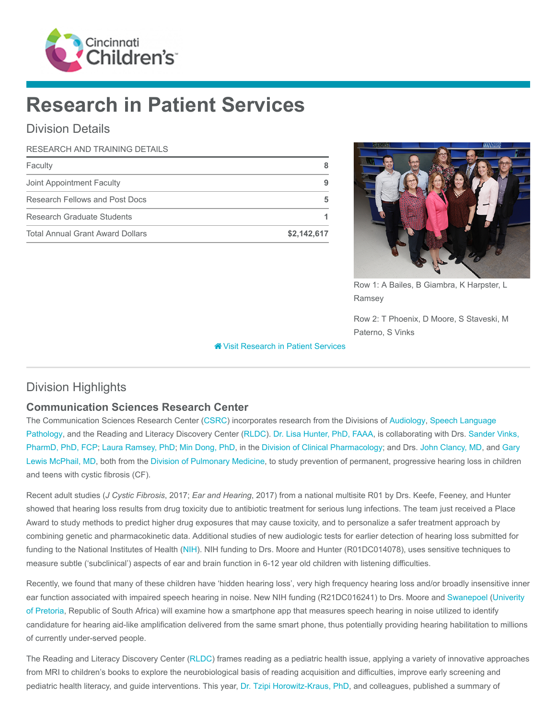

# Research in Patient Services

# Division Details

#### RESEARCH AND TRAINING DETAILS

| Faculty                                 |             |
|-----------------------------------------|-------------|
| Joint Appointment Faculty               |             |
| Research Fellows and Post Docs          |             |
| Research Graduate Students              |             |
| <b>Total Annual Grant Award Dollars</b> | \$2,142,617 |



Row 1: A Bailes, B Giambra, K Harpster, L Ramsey

Row 2: T Phoenix, D Moore, S Staveski, M Paterno, S Vinks

**<sup><sup>8</sup>** [Visit Research in Patient Services](https://www.cincinnatichildrens.org/research/divisions/r/rips)</sup>

# Division Highlights

## Communication Sciences Research Center

[The Communication Sciences Research Center \(C](https://www.cincinnatichildrens.org/service/s/speech)[SR](https://www.cincinnatichildrens.org/research/divisions/r/rips/research/csrc)[C\) incorporates research from the Divisions of A](https://www.cincinnatichildrens.org/service/s/speech)[udiolog](https://www.cincinnatichildrens.org/service/a/audiology)[y, Speech Language](https://www.cincinnatichildrens.org/service/s/speech) [Pathology, and the Reading and Literacy Discovery Center \(](https://www.cincinnatichildrens.org/bio/v/sander-vinks)[RLD](https://rldc.cchmc.org/)[C\).](https://www.cincinnatichildrens.org/bio/v/sander-vinks) [Dr. Lisa Hunter, PhD, FAAA](https://www.cincinnatichildrens.org/bio/h/lisa-hunter)[, is collaborating with Drs. Sander Vinks,](https://www.cincinnatichildrens.org/bio/v/sander-vinks) PharmD, PhD, FCP; [Laura Ramsey, PhD;](https://www.cincinnatichildrens.org/bio/r/laura-ramsey) [Min Dong, PhD,](https://www.cincinnatichildrens.org/bio/d/min-dong) in the [Division of Clinical Pharmacology](https://www.cincinnatichildrens.org/research/divisions/c/pharmacology); and Drs. [John Clancy, MD,](https://www.cincinnatichildrens.org/bio/c/john-clancy) and Gary [Lewis McPhail, MD, both from the Division of Pulmonary Medicine, to study prevention of permanent, progressive hearing loss in children](https://www.cincinnatichildrens.org/bio/m/gary-lewis-mcphail) and teens with cystic fibrosis (CF).

Recent adult studies (J Cystic Fibrosis, 2017; Ear and Hearing, 2017) from a national multisite R01 by Drs. Keefe, Feeney, and Hunter showed that hearing loss results from drug toxicity due to antibiotic treatment for serious lung infections. The team just received a Place Award to study methods to predict higher drug exposures that may cause toxicity, and to personalize a safer treatment approach by combining genetic and pharmacokinetic data. Additional studies of new audiologic tests for earlier detection of hearing loss submitted for funding to the National Institutes of Health ([NIH](https://www.nih.gov/)). NIH funding to Drs. Moore and Hunter (R01DC014078), uses sensitive techniques to measure subtle ('subclinical') aspects of ear and brain function in 6-12 year old children with listening difficulties.

Recently, we found that many of these children have 'hidden hearing loss', very high frequency hearing loss and/or broadly insensitive inner [ear function associated with impaired speech hearing in noise. New NIH funding \(R21DC016241\) to Drs. Moore and](http://www.up.ac.za/) [Swanepoel](http://www.up.ac.za/speech-language-pathology-and-audiology/article/1909361/de-wet-swanepoel) [\(Univerity](http://www.up.ac.za/) of Pretoria, Republic of South Africa) will examine how a smartphone app that measures speech hearing in noise utilized to identify candidature for hearing aid-like amplification delivered from the same smart phone, thus potentially providing hearing habilitation to millions of currently under-served people.

The Reading and Literacy Discovery Center ([RLDC\)](https://rldc.cchmc.org/) frames reading as a pediatric health issue, applying a variety of innovative approaches from MRI to children's books to explore the neurobiological basis of reading acquisition and difficulties, improve early screening and pediatric health literacy, and guide interventions. This year, [Dr. Tzipi Horowitz-Kraus, PhD](https://www.cincinnatichildrens.org/bio/h/tzipi-horowitz-kraus), and colleagues, published a summary of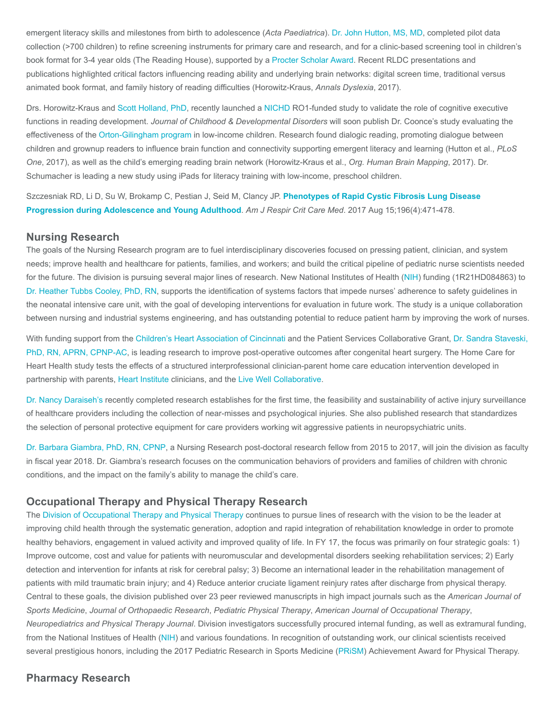emergent literacy skills and milestones from birth to adolescence (Acta Paediatrica). [Dr. John Hutton, MS, MD,](https://www.cincinnatichildrens.org/bio/h/john-s-hutton) completed pilot data collection (>700 children) to refine screening instruments for primary care and research, and for a clinic-based screening tool in children's book format for 3-4 year olds (The Reading House), supported by a [Procter Scholar Award.](https://www.cincinnatichildrens.org/education/funded/procter) Recent RLDC presentations and publications highlighted critical factors influencing reading ability and underlying brain networks: digital screen time, traditional versus animated book format, and family history of reading difficulties (Horowitz-Kraus, Annals Dyslexia, 2017).

Drs. Horowitz-Kraus and [Scott Holland, PhD](https://www.cincinnatichildrens.org/notfound/search?item=master%3a%7b2D90811D-E917-45B1-B589-D49A9CAD9E1E%7d%40en), recently launched a [NICHD](https://nichd.nih.gov/Pages/index.aspx) RO1-funded study to validate the role of cognitive executive functions in reading development. Journal of Childhood & Developmental Disorders will soon publish Dr. Coonce's study evaluating the effectiveness of the [Orton-Gilingham program](https://www.orton-gillingham.com/) in low-income children. Research found dialogic reading, promoting dialogue between children and grownup readers to influence brain function and connectivity supporting emergent literacy and learning (Hutton et al., PLoS One, 2017), as well as the child's emerging reading brain network (Horowitz-Kraus et al., Org. Human Brain Mapping, 2017). Dr. Schumacher is leading a new study using iPads for literacy training with low-income, preschool children.

[Szczesniak RD, Li D, Su W, Brokamp C, Pestian J, Seid M, Clancy JP.](https://www.ncbi.nlm.nih.gov/pubmed/28410569) Phenotypes of Rapid Cystic Fibrosis Lung Disease Progression during Adolescence and Young Adulthood. Am J Respir Crit Care Med. 2017 Aug 15;196(4):471-478.

#### Nursing Research

The goals of the Nursing Research program are to fuel interdisciplinary discoveries focused on pressing patient, clinician, and system needs; improve health and healthcare for patients, families, and workers; and build the critical pipeline of pediatric nurse scientists needed for the future. The division is pursuing several major lines of research. New National Institutes of Health ([NIH\)](https://www.nih.gov/) funding (1R21HD084863) to [Dr. Heather Tubbs Cooley, PhD, RN](https://www.cincinnatichildrens.org/bio/t/tubbs-cooley), supports the identification of systems factors that impede nurses' adherence to safety guidelines in the neonatal intensive care unit, with the goal of developing interventions for evaluation in future work. The study is a unique collaboration between nursing and industrial systems engineering, and has outstanding potential to reduce patient harm by improving the work of nurses.

[With funding support from the C](https://www.cincinnatichildrens.org/bio/s/sandra-staveski)[hildren's Heart Association of Cincinnati](https://www.chaoc.org/) [and the Patient Services Collaborative Grant, Dr. Sandra Staveski,](https://www.cincinnatichildrens.org/bio/s/sandra-staveski) PhD, RN, APRN, CPNP-AC, is leading research to improve post-operative outcomes after congenital heart surgery. The Home Care for Heart Health study tests the effects of a structured interprofessional clinician-parent home care education intervention developed in partnership with parents, [Heart Institute](https://www.cincinnatichildrens.org/research/divisions/h/heart) clinicians, and the [Live Well Collaborative.](https://livewellcollaborative.org/)

[Dr. Nancy Daraiseh's](https://www.cincinnatichildrens.org/bio/d/nancy-daraiseh) recently completed research establishes for the first time, the feasibility and sustainability of active injury surveillance of healthcare providers including the collection of near-misses and psychological injuries. She also published research that standardizes the selection of personal protective equipment for care providers working wit aggressive patients in neuropsychiatric units.

[Dr. Barbara Giambra, PhD, RN, CPNP,](https://www.cincinnatichildrens.org/bio/g/barbara-giambra) a Nursing Research post-doctoral research fellow from 2015 to 2017, will join the division as faculty in fiscal year 2018. Dr. Giambra's research focuses on the communication behaviors of providers and families of children with chronic conditions, and the impact on the family's ability to manage the child's care.

#### Occupational Therapy and Physical Therapy Research

The [Division of Occupational Therapy and Physical Therapy](https://www.cincinnatichildrens.org/service/o/ot-pt) continues to pursue lines of research with the vision to be the leader at improving child health through the systematic generation, adoption and rapid integration of rehabilitation knowledge in order to promote healthy behaviors, engagement in valued activity and improved quality of life. In FY 17, the focus was primarily on four strategic goals: 1) Improve outcome, cost and value for patients with neuromuscular and developmental disorders seeking rehabilitation services; 2) Early detection and intervention for infants at risk for cerebral palsy; 3) Become an international leader in the rehabilitation management of patients with mild traumatic brain injury; and 4) Reduce anterior cruciate ligament reinjury rates after discharge from physical therapy. Central to these goals, the division published over 23 peer reviewed manuscripts in high impact journals such as the American Journal of Sports Medicine, Journal of Orthopaedic Research, Pediatric Physical Therapy, American Journal of Occupational Therapy, Neuropediatrics and Physical Therapy Journal. Division investigators successfully procured internal funding, as well as extramural funding, from the National Institues of Health ([NIH](https://www.nih.gov/)) and various foundations. In recognition of outstanding work, our clinical scientists received several prestigious honors, including the 2017 Pediatric Research in Sports Medicine [\(PRiSM\)](https://www.prismsports.org/) Achievement Award for Physical Therapy.

### Pharmacy Research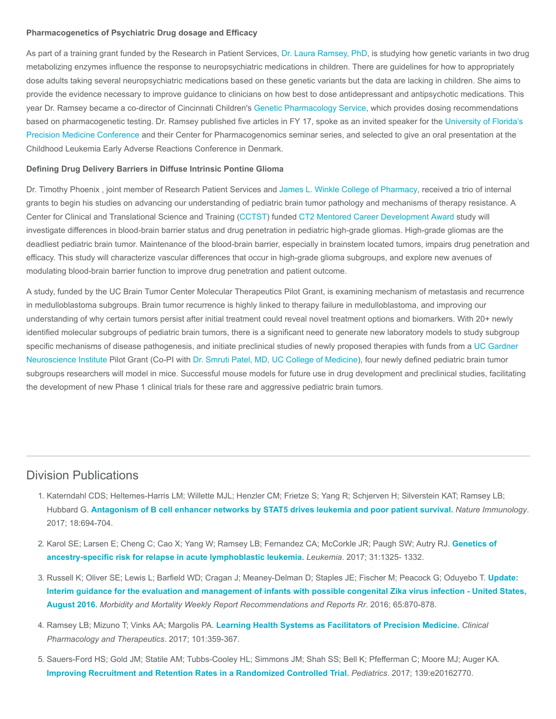#### Pharmacogenetics of Psychiatric Drug dosage and Efficacy

As part of a training grant funded by the Research in Patient Services, [Dr. Laura Ramsey, PhD,](https://www.cincinnatichildrens.org/bio/r/laura-ramsey) is studying how genetic variants in two drug metabolizing enzymes influence the response to neuropsychiatric medications in children. There are guidelines for how to appropriately dose adults taking several neuropsychiatric medications based on these genetic variants but the data are lacking in children. She aims to provide the evidence necessary to improve guidance to clinicians on how best to dose antidepressant and antipsychotic medications. This year Dr. Ramsey became a co-director of Cincinnati Children's [Genetic Pharmacology Service](https://www.cincinnatichildrens.org/service/g/genetic-pharmacology), which provides dosing recommendations [based on pharmacogenetic testing. Dr. Ramsey published five articles in FY 17, spoke as an invited speaker for the University of Florida's](http://precisionmed.pharmacy.ufl.edu/) Precision Medicine Conference and their Center for Pharmacogenomics seminar series, and selected to give an oral presentation at the Childhood Leukemia Early Adverse Reactions Conference in Denmark.

#### Defining Drug Delivery Barriers in Diffuse Intrinsic Pontine Glioma

Dr. Timothy Phoenix , joint member of Research Patient Services and [James L. Winkle College of Pharmacy,](https://pharmacy.uc.edu/) received a trio of internal grants to begin his studies on advancing our understanding of pediatric brain tumor pathology and mechanisms of therapy resistance. A Center for Clinical and Translational Science and Training ([CCTST\)](https://cctst.uc.edu/) funded [CT2 Mentored Career Development Award](https://cctst.uc.edu/funding/kl2rs) study will investigate differences in blood-brain barrier status and drug penetration in pediatric high-grade gliomas. High-grade gliomas are the deadliest pediatric brain tumor. Maintenance of the blood-brain barrier, especially in brainstem located tumors, impairs drug penetration and efficacy. This study will characterize vascular differences that occur in high-grade glioma subgroups, and explore new avenues of modulating blood-brain barrier function to improve drug penetration and patient outcome.

A study, funded by the UC Brain Tumor Center Molecular Therapeutics Pilot Grant, is examining mechanism of metastasis and recurrence in medulloblastoma subgroups. Brain tumor recurrence is highly linked to therapy failure in medulloblastoma, and improving our understanding of why certain tumors persist after initial treatment could reveal novel treatment options and biomarkers. With 20+ newly identified molecular subgroups of pediatric brain tumors, there is a significant need to generate new laboratory models to study subgroup [specific mechanisms of disease pathogenesis, and initiate preclinical studies of newly proposed therapies with funds from a UC Gardner](http://uchealth.com/neuroscience/) Neuroscience Institute Pilot Grant (Co-PI with [Dr. Smruti Patel, MD,](https://med.uc.edu/neurosurgery/residency/current-residents/Index/Pubs/patel2s8/) [UC College of Medicine](https://med.uc.edu/)), four newly defined pediatric brain tumor subgroups researchers will model in mice. Successful mouse models for future use in drug development and preclinical studies, facilitating the development of new Phase 1 clinical trials for these rare and aggressive pediatric brain tumors.

## Division Publications

- 1. Katerndahl CDS; Heltemes-Harris LM; Willette MJL; Henzler CM; Frietze S; Yang R; Schjerven H; Silverstein KAT; Ramsey LB; Hubbard G. [Antagonism of B cell enhancer networks by STAT5 drives leukemia and poor patient survival.](https://www.ncbi.nlm.nih.gov/pubmed/28369050) Nature Immunology. 2017; 18:694-704.
- 2. [Karol SE; Larsen E; Cheng C; Cao X; Yang W; Ramsey LB; Fernandez CA; McCorkle JR; Paugh SW; Autry RJ.](https://www.ncbi.nlm.nih.gov/pubmed/28096535) Genetics of ancestry-specific risk for relapse in acute lymphoblastic leukemia. Leukemia. 2017; 31:1325- 1332.
- 3. [Russell K; Oliver SE; Lewis L; Barfield WD; Cragan J; Meaney-Delman D; Staples JE; Fischer M; Peacock G; Oduyebo T.](https://www.ncbi.nlm.nih.gov/pubmed/27559830) Update: Interim guidance for the evaluation and management of infants with possible congenital Zika virus infection - United States, August 2016. Morbidity and Mortality Weekly Report Recommendations and Reports Rr. 2016; 65:870-878.
- 4. Ramsey LB; Mizuno T; Vinks AA; Margolis PA. [Learning Health Systems as Facilitators of Precision Medicine.](https://www.ncbi.nlm.nih.gov/pubmed/27984650) Clinical Pharmacology and Therapeutics. 2017; 101:359-367.
- 5. Sauers-Ford HS; Gold JM; Statile AM; Tubbs-Cooley HL; Simmons JM; Shah SS; Bell K; Pfefferman C; Moore MJ; Auger KA. [Improving Recruitment and Retention Rates in a Randomized Controlled Trial.](https://www.ncbi.nlm.nih.gov/pubmed/28557728) Pediatrics. 2017; 139:e20162770.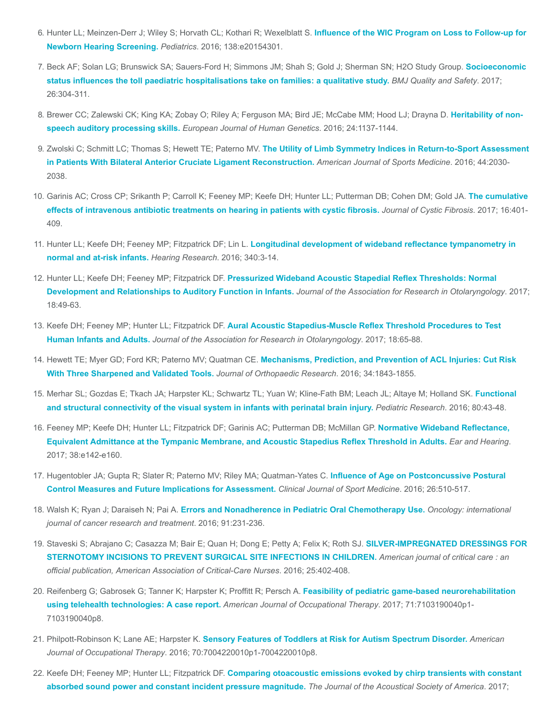- 6. [Hunter LL; Meinzen-Derr J; Wiley S; Horvath CL; Kothari R; Wexelblatt S.](https://www.ncbi.nlm.nih.gov/pubmed/27307144) Influence of the WIC Program on Loss to Follow-up for Newborn Hearing Screening. Pediatrics. 2016; 138:e20154301.
- 7. [Beck AF; Solan LG; Brunswick SA; Sauers-Ford H; Simmons JM; Shah S; Gold J; Sherman SN; H2O Study Group.](https://www.ncbi.nlm.nih.gov/pubmed/27471042) Socioeconomic status influences the toll paediatric hospitalisations take on families: a qualitative study. BMJ Quality and Safety. 2017; 26:304-311.
- 8. [Brewer CC; Zalewski CK; King KA; Zobay O; Riley A; Ferguson MA; Bird JE; McCabe MM; Hood LJ; Drayna D.](https://www.ncbi.nlm.nih.gov/pubmed/26883091) Heritability of nonspeech auditory processing skills. European Journal of Human Genetics. 2016; 24:1137-1144.
- 9. Zwolski C; Schmitt LC; Thomas S; Hewett TE; Paterno MV. The Utility of Limb Symmetry Indices in Return-to-Sport Assessment [in Patients With Bilateral Anterior Cruciate Ligament Reconstruction.](https://www.ncbi.nlm.nih.gov/pubmed/27257127) American Journal of Sports Medicine. 2016; 44:2030-2038.
- 10. [Garinis AC; Cross CP; Srikanth P; Carroll K; Feeney MP; Keefe DH; Hunter LL; Putterman DB; Cohen DM; Gold JA.](https://www.ncbi.nlm.nih.gov/pubmed/28238634) The cumulative effects of intravenous antibiotic treatments on hearing in patients with cystic fibrosis. Journal of Cystic Fibrosis. 2017; 16:401-409.
- 11. Hunter LL; Keefe DH; Feeney MP; Fitzpatrick DF; Lin L. [Longitudinal development of wideband reflectance tympanometry in](https://www.ncbi.nlm.nih.gov/pubmed/26712451) normal and at-risk infants. Hearing Research. 2016; 340:3-14.
- 12. Hunter LL; Keefe DH; Feeney MP; Fitzpatrick DF. [Pressurized Wideband Acoustic Stapedial Reflex Thresholds: Normal](https://www.ncbi.nlm.nih.gov/pubmed/27928634) Development and Relationships to Auditory Function in Infants. Journal of the Association for Research in Otolaryngology. 2017; 18:49-63.
- 13. Keefe DH; Feeney MP; Hunter LL; Fitzpatrick DF. [Aural Acoustic Stapedius-Muscle Reflex Threshold Procedures to Test](https://www.ncbi.nlm.nih.gov/pubmed/27957612) Human Infants and Adults. Journal of the Association for Research in Otolaryngology. 2017; 18:65-88.
- 14. Hewett TE; Myer GD; Ford KR; Paterno MV; Quatman CE. [Mechanisms, Prediction, and Prevention of ACL Injuries: Cut Risk](https://www.ncbi.nlm.nih.gov/pubmed/27612195) With Three Sharpened and Validated Tools. Journal of Orthopaedic Research. 2016; 34:1843-1855.
- 15. [Merhar SL; Gozdas E; Tkach JA; Harpster KL; Schwartz TL; Yuan W; Kline-Fath BM; Leach JL; Altaye M; Holland SK.](https://www.ncbi.nlm.nih.gov/pubmed/26991261) Functional and structural connectivity of the visual system in infants with perinatal brain injury. Pediatric Research. 2016; 80:43-48.
- 16. Feeney MP; Keefe DH; Hunter LL; Fitzpatrick DF; Garinis AC; Putterman DB; McMillan GP. Normative Wideband Reflectance, [Equivalent Admittance at the Tympanic Membrane, and Acoustic Stapedius Reflex Threshold in Adults.](https://www.ncbi.nlm.nih.gov/pubmed/28045835) Ear and Hearing. 2017; 38:e142-e160.
- 17. [Hugentobler JA; Gupta R; Slater R; Paterno MV; Riley MA; Quatman-Yates C.](https://www.ncbi.nlm.nih.gov/pubmed/27347855) Influence of Age on Postconcussive Postural Control Measures and Future Implications for Assessment. Clinical Journal of Sport Medicine. 2016; 26:510-517.
- 18. Walsh K; Ryan J; Daraiseh N; Pai A. [Errors and Nonadherence in Pediatric Oral Chemotherapy Use.](https://www.ncbi.nlm.nih.gov/pubmed/27487185) Oncology: international journal of cancer research and treatment. 2016; 91:231-236.
- 19. [Staveski S; Abrajano C; Casazza M; Bair E; Quan H; Dong E; Petty A; Felix K; Roth SJ.](https://www.ncbi.nlm.nih.gov/pubmed/27587419) SILVER-IMPREGNATED DRESSINGS FOR STERNOTOMY INCISIONS TO PREVENT SURGICAL SITE INFECTIONS IN CHILDREN. American journal of critical care : an official publication, American Association of Critical-Care Nurses. 2016; 25:402-408.
- 20. [Reifenberg G; Gabrosek G; Tanner K; Harpster K; Proffitt R; Persch A.](https://www.ncbi.nlm.nih.gov/pubmed/28422630) Feasibility of pediatric game-based neurorehabilitation using telehealth technologies: A case report. American Journal of Occupational Therapy. 2017; 71:7103190040p1-7103190040p8.
- 21. Philpott-Robinson K; Lane AE; Harpster K. [Sensory Features of Toddlers at Risk for Autism Spectrum Disorder.](https://www.ncbi.nlm.nih.gov/pubmed/27294987) American Journal of Occupational Therapy. 2016; 70:7004220010p1-7004220010p8.
- 22. Keefe DH; Feeney MP; Hunter LL; Fitzpatrick DF. [Comparing otoacoustic emissions evoked by chirp transients with constant](https://www.ncbi.nlm.nih.gov/pubmed/28147608) absorbed sound power and constant incident pressure magnitude. The Journal of the Acoustical Society of America. 2017;